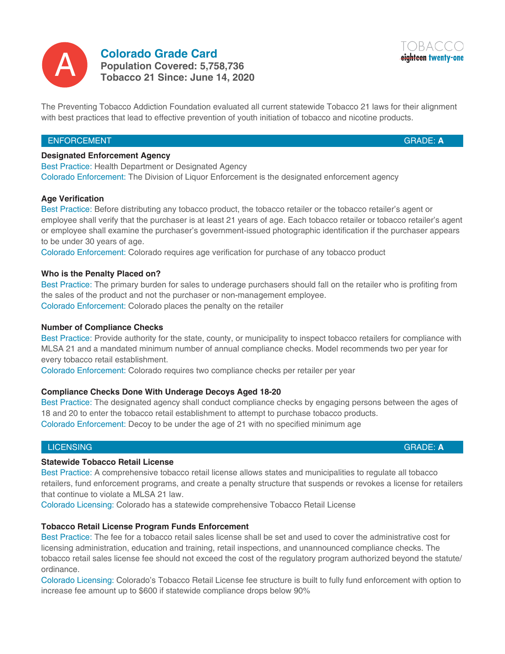

**Colorado Grade Card Population Covered: 5,758,736** A **Tobacco 21 Since: June 14, 2020**



### ENFORCEMENT

GRADE: **A**

eighteen twenty-one

#### **Designated Enforcement Agency**

Best Practice: Health Department or Designated Agency Colorado Enforcement: The Division of Liquor Enforcement is the designated enforcement agency

#### **Age Verification**

Best Practice: Before distributing any tobacco product, the tobacco retailer or the tobacco retailer's agent or employee shall verify that the purchaser is at least 21 years of age. Each tobacco retailer or tobacco retailer's agent or employee shall examine the purchaser's government-issued photographic identification if the purchaser appears to be under 30 years of age.

Colorado Enforcement: Colorado requires age verification for purchase of any tobacco product

#### **Who is the Penalty Placed on?**

Best Practice: The primary burden for sales to underage purchasers should fall on the retailer who is profiting from the sales of the product and not the purchaser or non-management employee. Colorado Enforcement: Colorado places the penalty on the retailer

#### **Number of Compliance Checks**

Best Practice: Provide authority for the state, county, or municipality to inspect tobacco retailers for compliance with MLSA 21 and a mandated minimum number of annual compliance checks. Model recommends two per year for every tobacco retail establishment.

Colorado Enforcement: Colorado requires two compliance checks per retailer per year

### **Compliance Checks Done With Underage Decoys Aged 18-20**

Best Practice: The designated agency shall conduct compliance checks by engaging persons between the ages of 18 and 20 to enter the tobacco retail establishment to attempt to purchase tobacco products. Colorado Enforcement: Decoy to be under the age of 21 with no specified minimum age

#### **LICENSING**

### **Statewide Tobacco Retail License**

Best Practice: A comprehensive tobacco retail license allows states and municipalities to regulate all tobacco retailers, fund enforcement programs, and create a penalty structure that suspends or revokes a license for retailers that continue to violate a MLSA 21 law.

Colorado Licensing: Colorado has a statewide comprehensive Tobacco Retail License

### **Tobacco Retail License Program Funds Enforcement**

Best Practice: The fee for a tobacco retail sales license shall be set and used to cover the administrative cost for licensing administration, education and training, retail inspections, and unannounced compliance checks. The tobacco retail sales license fee should not exceed the cost of the regulatory program authorized beyond the statute/ ordinance.

Colorado Licensing: Colorado's Tobacco Retail License fee structure is built to fully fund enforcement with option to increase fee amount up to \$600 if statewide compliance drops below 90%

GRADE: **A**